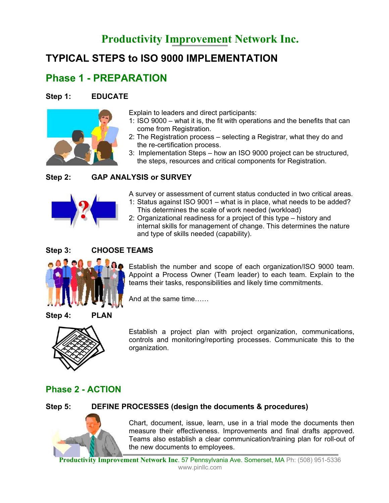# **Productivity Improvement Network Inc.**

# **TYPICAL STEPS to ISO 9000 IMPLEMENTATION**

# **Phase 1 - PREPARATION**

#### **Step 1: EDUCATE**



Explain to leaders and direct participants:

- 1: ISO 9000 what it is, the fit with operations and the benefits that can come from Registration.
- 2: The Registration process selecting a Registrar, what they do and the re-certification process.
- 3: Implementation Steps how an ISO 9000 project can be structured, the steps, resources and critical components for Registration.

### **Step 2: GAP ANALYSIS or SURVEY**



A survey or assessment of current status conducted in two critical areas.

- 1: Status against ISO 9001 what is in place, what needs to be added? This determines the scale of work needed (workload)
- 2: Organizational readiness for a project of this type history and internal skills for management of change. This determines the nature and type of skills needed (capability).

#### **Step 3: CHOOSE TEAMS**



Establish the number and scope of each organization/ISO 9000 team. Appoint a Process Owner (Team leader) to each team. Explain to the teams their tasks, responsibilities and likely time commitments.

And at the same time……

**Step 4: PLAN** 



Establish a project plan with project organization, communications, controls and monitoring/reporting processes. Communicate this to the organization.

## **Phase 2 - ACTION**

#### **Step 5: DEFINE PROCESSES (design the documents & procedures)**



Chart, document, issue, learn, use in a trial mode the documents then measure their effectiveness. Improvements and final drafts approved. Teams also establish a clear communication/training plan for roll-out of the new documents to employees.

**Productivity Improvement Network Inc**. 57 Pennsylvania Ave. Somerset, MA Ph: (508) 951-5336 www.pinllc.com